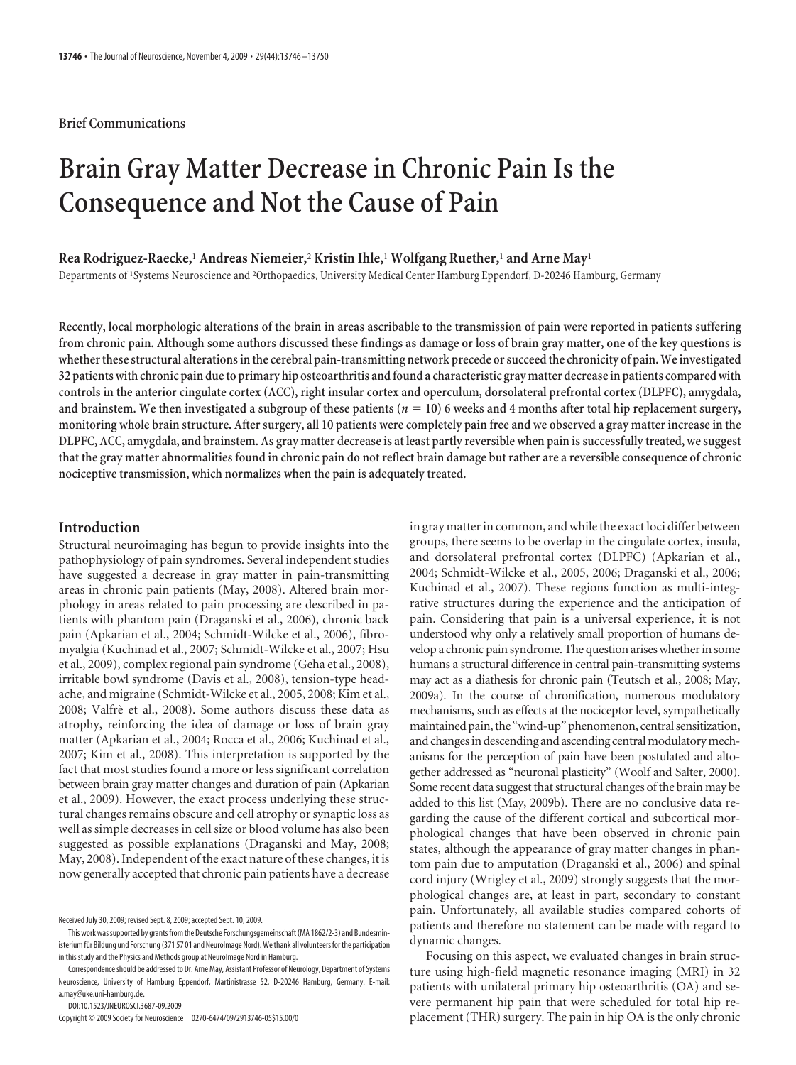## **Brief Communications**

# **Brain Gray Matter Decrease in Chronic Pain Is the Consequence and Not the Cause of Pain**

## **Rea Rodriguez-Raecke,**<sup>1</sup> **Andreas Niemeier,**<sup>2</sup> **Kristin Ihle,**<sup>1</sup> **Wolfgang Ruether,**<sup>1</sup> **and Arne May**<sup>1</sup>

Departments of <sup>1</sup> Systems Neuroscience and <sup>2</sup> Orthopaedics, University Medical Center Hamburg Eppendorf, D-20246 Hamburg, Germany

**Recently, local morphologic alterations of the brain in areas ascribable to the transmission of pain were reported in patients suffering from chronic pain. Although some authors discussed these findings as damage or loss of brain gray matter, one of the key questions is** whether these structural alterations in the cerebral pain-transmitting network precede or succeed the chronicity of pain. We investigated **32 patients with chronic pain dueto primary hip osteoarthritis andfound a characteristic gray matter decrease in patients compared with controls in the anterior cingulate cortex (ACC), right insular cortex and operculum, dorsolateral prefrontal cortex (DLPFC), amygdala, and brainstem. We then investigated a subgroup of these patients (***n* **10) 6 weeks and 4 months after total hip replacement surgery, monitoring whole brain structure. After surgery, all 10 patients were completely pain free and we observed a gray matter increase in the DLPFC, ACC, amygdala, and brainstem. As gray matter decrease is at least partly reversible when pain is successfully treated, we suggest that the gray matter abnormalities found in chronic pain do not reflect brain damage but rather are a reversible consequence of chronic nociceptive transmission, which normalizes when the pain is adequately treated.**

# **Introduction**

Structural neuroimaging has begun to provide insights into the pathophysiology of pain syndromes. Several independent studies have suggested a decrease in gray matter in pain-transmitting areas in chronic pain patients (May, 2008). Altered brain morphology in areas related to pain processing are described in patients with phantom pain (Draganski et al., 2006), chronic back pain (Apkarian et al., 2004; Schmidt-Wilcke et al., 2006), fibromyalgia (Kuchinad et al., 2007; Schmidt-Wilcke et al., 2007; Hsu et al., 2009), complex regional pain syndrome (Geha et al., 2008), irritable bowl syndrome (Davis et al., 2008), tension-type headache, and migraine (Schmidt-Wilcke et al., 2005, 2008; Kim et al., 2008; Valfrè et al., 2008). Some authors discuss these data as atrophy, reinforcing the idea of damage or loss of brain gray matter (Apkarian et al., 2004; Rocca et al., 2006; Kuchinad et al., 2007; Kim et al., 2008). This interpretation is supported by the fact that most studies found a more or less significant correlation between brain gray matter changes and duration of pain (Apkarian et al., 2009). However, the exact process underlying these structural changes remains obscure and cell atrophy or synaptic loss as well as simple decreases in cell size or blood volume has also been suggested as possible explanations (Draganski and May, 2008; May, 2008). Independent of the exact nature of these changes, it is now generally accepted that chronic pain patients have a decrease

DOI:10.1523/JNEUROSCI.3687-09.2009

Copyright © 2009 Society for Neuroscience 0270-6474/09/2913746-05\$15.00/0

in gray matter in common, and while the exact loci differ between groups, there seems to be overlap in the cingulate cortex, insula, and dorsolateral prefrontal cortex (DLPFC) (Apkarian et al., 2004; Schmidt-Wilcke et al., 2005, 2006; Draganski et al., 2006; Kuchinad et al., 2007). These regions function as multi-integrative structures during the experience and the anticipation of pain. Considering that pain is a universal experience, it is not understood why only a relatively small proportion of humans develop a chronic pain syndrome. The question arises whether in some humans a structural difference in central pain-transmitting systems may act as a diathesis for chronic pain (Teutsch et al., 2008; May, 2009a). In the course of chronification, numerous modulatory mechanisms, such as effects at the nociceptor level, sympathetically maintained pain, the "wind-up" phenomenon, central sensitization, and changes in descending and ascending central modulatory mechanisms for the perception of pain have been postulated and altogether addressed as "neuronal plasticity" (Woolf and Salter, 2000). Some recent data suggest that structural changes of the brain may be added to this list (May, 2009b). There are no conclusive data regarding the cause of the different cortical and subcortical morphological changes that have been observed in chronic pain states, although the appearance of gray matter changes in phantom pain due to amputation (Draganski et al., 2006) and spinal cord injury (Wrigley et al., 2009) strongly suggests that the morphological changes are, at least in part, secondary to constant pain. Unfortunately, all available studies compared cohorts of patients and therefore no statement can be made with regard to dynamic changes.

Focusing on this aspect, we evaluated changes in brain structure using high-field magnetic resonance imaging (MRI) in 32 patients with unilateral primary hip osteoarthritis (OA) and severe permanent hip pain that were scheduled for total hip replacement (THR) surgery. The pain in hip OA is the only chronic

Received July 30, 2009; revised Sept. 8, 2009; accepted Sept. 10, 2009.

This work was supported by grants from the Deutsche Forschungsgemeinschaft (MA 1862/2-3) and Bundesministerium für Bildung und Forschung (371 57 01 and NeuroImage Nord). We thank all volunteers for the participation in this study and the Physics and Methods group at NeuroImage Nord in Hamburg.

Correspondence should be addressed to Dr. Arne May, Assistant Professor of Neurology, Department of Systems Neuroscience, University of Hamburg Eppendorf, Martinistrasse 52, D-20246 Hamburg, Germany. E-mail: a.may@uke.uni-hamburg.de.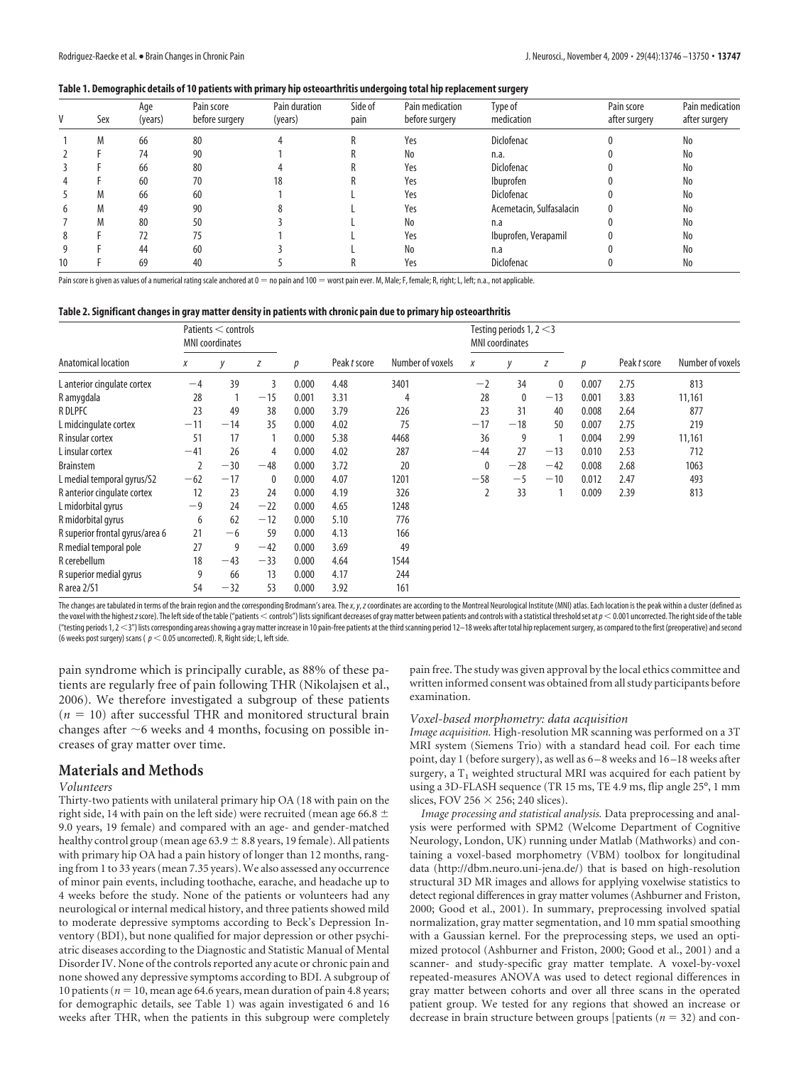#### **Table 1. Demographic details of 10 patients with primary hip osteoarthritis undergoing total hip replacement surgery**

|               | Sex | Age<br>(years) | Pain score<br>before surgery | Pain duration<br>(years) | Side of<br>pain | Pain medication<br>before surgery | Type of<br>medication    | Pain score<br>after surgery | Pain medication<br>after surgery |
|---------------|-----|----------------|------------------------------|--------------------------|-----------------|-----------------------------------|--------------------------|-----------------------------|----------------------------------|
|               | M   | 66             | 80                           |                          |                 | Yes                               | <b>Diclofenac</b>        |                             | No                               |
|               |     | 74             | 90                           |                          |                 | No                                | n.a.                     |                             | No                               |
|               |     | 66             | 80                           |                          |                 | Yes                               | Diclofenac               |                             | No                               |
|               |     | 60             | 70                           | 18                       |                 | Yes                               | Ibuprofen                |                             | No                               |
|               | M   | 66             | 60                           |                          |                 | Yes                               | Diclofenac               |                             | No                               |
| $\mathfrak b$ | M   | 49             | 90                           |                          |                 | Yes                               | Acemetacin, Sulfasalacin |                             | No                               |
|               | M   | 80             | 50                           |                          |                 | No                                | n.a                      |                             | No                               |
| 8             |     | 72             | 75                           |                          |                 | Yes                               | Ibuprofen, Verapamil     |                             | No                               |
| 9             |     | 44             | 60                           |                          |                 | No                                | n.a                      |                             | No                               |
| 10            |     | 69             | 40                           |                          |                 | Yes                               | Diclofenac               |                             | No                               |

Pain score is given as values of a numerical rating scale anchored at 0 = no pain and 100 = worst pain ever. M, Male; F, female; R, right; L, left; n.a., not applicable.

#### **Table 2. Significant changes in gray matter density in patients with chronic pain due to primary hip osteoarthritis**

|                                 | Patients < controls<br><b>MNI</b> coordinates |       |              |       |              |                  | Testing periods $1, 2 < 3$<br><b>MNI</b> coordinates |       |       |       |              |                  |
|---------------------------------|-----------------------------------------------|-------|--------------|-------|--------------|------------------|------------------------------------------------------|-------|-------|-------|--------------|------------------|
| Anatomical location             | Χ                                             | V     | Ζ            | p     | Peak t score | Number of voxels | X                                                    |       | Ζ     | p     | Peak t score | Number of voxels |
| L anterior cingulate cortex     | $-4$                                          | 39    | 3            | 0.000 | 4.48         | 3401             | $-2$                                                 | 34    | 0     | 0.007 | 2.75         | 813              |
| R amygdala                      | 28                                            |       | $-15$        | 0.001 | 3.31         | 4                | 28                                                   | 0     | $-13$ | 0.001 | 3.83         | 11,161           |
| <b>RDLPFC</b>                   | 23                                            | 49    | 38           | 0.000 | 3.79         | 226              | 23                                                   | 31    | 40    | 0.008 | 2.64         | 877              |
| L midcingulate cortex           | $-11$                                         | $-14$ | 35           | 0.000 | 4.02         | 75               | $-17$                                                | $-18$ | 50    | 0.007 | 2.75         | 219              |
| R insular cortex                | 51                                            | 17    |              | 0.000 | 5.38         | 4468             | 36                                                   | 9     |       | 0.004 | 2.99         | 11,161           |
| L insular cortex                | $-41$                                         | 26    | 4            | 0.000 | 4.02         | 287              | $-44$                                                | 27    | $-13$ | 0.010 | 2.53         | 712              |
| <b>Brainstem</b>                |                                               | $-30$ | $-48$        | 0.000 | 3.72         | 20               |                                                      | $-28$ | $-42$ | 0.008 | 2.68         | 1063             |
| L medial temporal gyrus/S2      | $-62$                                         | $-17$ | $\mathbf{0}$ | 0.000 | 4.07         | 1201             | $-58$                                                | $-5$  | $-10$ | 0.012 | 2.47         | 493              |
| R anterior cingulate cortex     | 12                                            | 23    | 24           | 0.000 | 4.19         | 326              |                                                      | 33    |       | 0.009 | 2.39         | 813              |
| L midorbital gyrus              | $-9$                                          | 24    | $-22$        | 0.000 | 4.65         | 1248             |                                                      |       |       |       |              |                  |
| R midorbital gyrus              | 6                                             | 62    | $-12$        | 0.000 | 5.10         | 776              |                                                      |       |       |       |              |                  |
| R superior frontal gyrus/area 6 | 21                                            | $-6$  | 59           | 0.000 | 4.13         | 166              |                                                      |       |       |       |              |                  |
| R medial temporal pole          | 27                                            | 9     | $-42$        | 0.000 | 3.69         | 49               |                                                      |       |       |       |              |                  |
| R cerebellum                    | 18                                            | $-43$ | $-33$        | 0.000 | 4.64         | 1544             |                                                      |       |       |       |              |                  |
| R superior medial gyrus         | 9                                             | 66    | 13           | 0.000 | 4.17         | 244              |                                                      |       |       |       |              |                  |
| R area 2/S1                     | 54                                            | $-32$ | 53           | 0.000 | 3.92         | 161              |                                                      |       |       |       |              |                  |

The changes are tabulated in terms of the brain region and the corresponding Brodmann's area. The x, y, z coordinates are according to the Montreal Neurological Institute (MNI) atlas. Each location is the peak within a clu the voxel with the highest z score). The left side of the table ("patients < controls") lists significant decreases of gray matter between patients and controls with a statistical threshold set at  $p < 0.001$  uncorrected. T ("testing periods 1, 2 < 3") lists corresponding areas showing a gray matter increase in 10 pain-free patients at the third scanning period 12-18 weeks after total hip replacement surgery, as compared to the first (preoper (6 weeks post surgery) scans ( $p < 0.05$  uncorrected). R, Right side; L, left side.

pain syndrome which is principally curable, as 88% of these patients are regularly free of pain following THR (Nikolajsen et al., 2006). We therefore investigated a subgroup of these patients  $(n = 10)$  after successful THR and monitored structural brain changes after  $\sim$ 6 weeks and 4 months, focusing on possible increases of gray matter over time.

## **Materials and Methods**

#### *Volunteers*

Thirty-two patients with unilateral primary hip OA (18 with pain on the right side, 14 with pain on the left side) were recruited (mean age 66.8  $\pm$ 9.0 years, 19 female) and compared with an age- and gender-matched healthy control group (mean age  $63.9 \pm 8.8$  years, 19 female). All patients with primary hip OA had a pain history of longer than 12 months, ranging from 1 to 33 years (mean 7.35 years). We also assessed any occurrence of minor pain events, including toothache, earache, and headache up to 4 weeks before the study. None of the patients or volunteers had any neurological or internal medical history, and three patients showed mild to moderate depressive symptoms according to Beck's Depression Inventory (BDI), but none qualified for major depression or other psychiatric diseases according to the Diagnostic and Statistic Manual of Mental Disorder IV. None of the controls reported any acute or chronic pain and none showed any depressive symptoms according to BDI. A subgroup of 10 patients ( $n = 10$ , mean age 64.6 years, mean duration of pain 4.8 years; for demographic details, see Table 1) was again investigated 6 and 16 weeks after THR, when the patients in this subgroup were completely

pain free. The study was given approval by the local ethics committee and written informed consent was obtained from all study participants before examination.

#### *Voxel-based morphometry: data acquisition*

*Image acquisition.* High-resolution MR scanning was performed on a 3T MRI system (Siemens Trio) with a standard head coil. For each time point, day 1 (before surgery), as well as 6 – 8 weeks and 16 –18 weeks after surgery, a  $T_1$  weighted structural MRI was acquired for each patient by using a 3D-FLASH sequence (TR 15 ms, TE 4.9 ms, flip angle 25°, 1 mm slices, FOV 256  $\times$  256; 240 slices).

*Image processing and statistical analysis.* Data preprocessing and analysis were performed with SPM2 (Welcome Department of Cognitive Neurology, London, UK) running under Matlab (Mathworks) and containing a voxel-based morphometry (VBM) toolbox for longitudinal data (http://dbm.neuro.uni-jena.de/) that is based on high-resolution structural 3D MR images and allows for applying voxelwise statistics to detect regional differences in gray matter volumes (Ashburner and Friston, 2000; Good et al., 2001). In summary, preprocessing involved spatial normalization, gray matter segmentation, and 10 mm spatial smoothing with a Gaussian kernel. For the preprocessing steps, we used an optimized protocol (Ashburner and Friston, 2000; Good et al., 2001) and a scanner- and study-specific gray matter template. A voxel-by-voxel repeated-measures ANOVA was used to detect regional differences in gray matter between cohorts and over all three scans in the operated patient group. We tested for any regions that showed an increase or decrease in brain structure between groups [patients  $(n = 32)$  and con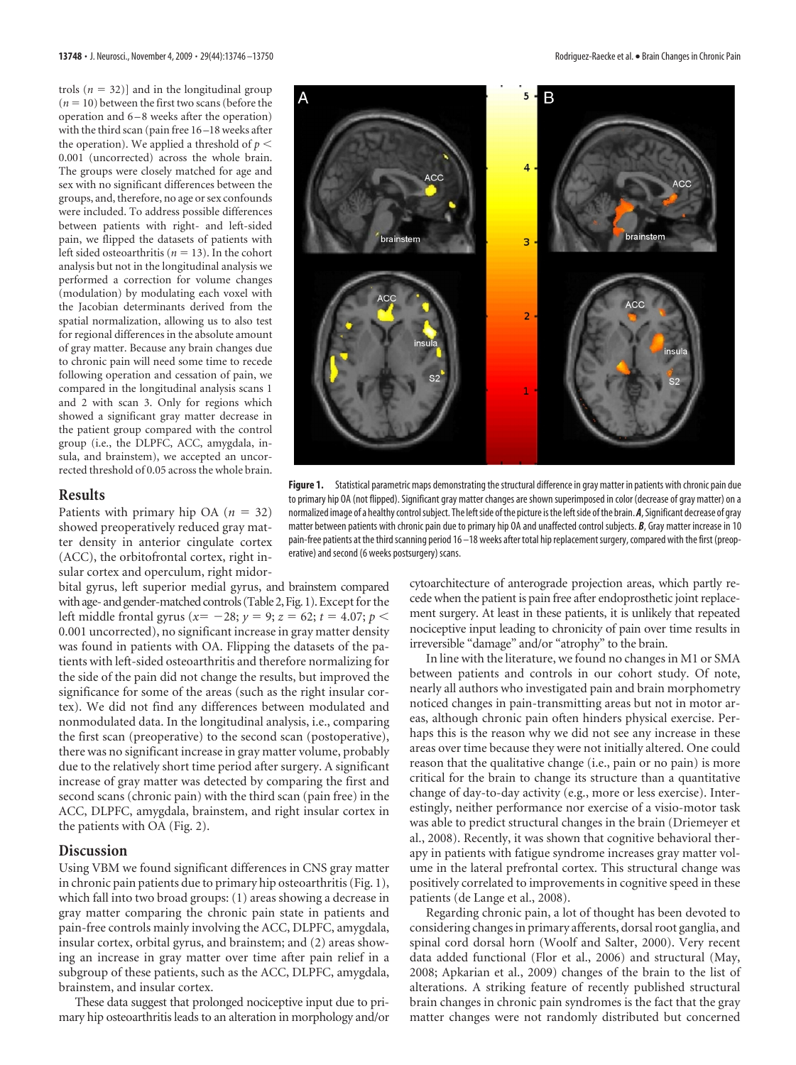trols  $(n = 32)$ ] and in the longitudinal group  $(n = 10)$  between the first two scans (before the operation and 6 – 8 weeks after the operation) with the third scan (pain free 16 –18 weeks after the operation). We applied a threshold of  $p <$ 0.001 (uncorrected) across the whole brain. The groups were closely matched for age and sex with no significant differences between the groups, and, therefore, no age or sex confounds were included. To address possible differences between patients with right- and left-sided pain, we flipped the datasets of patients with left sided osteoarthritis ( $n = 13$ ). In the cohort analysis but not in the longitudinal analysis we performed a correction for volume changes (modulation) by modulating each voxel with the Jacobian determinants derived from the spatial normalization, allowing us to also test for regional differences in the absolute amount of gray matter. Because any brain changes due to chronic pain will need some time to recede following operation and cessation of pain, we compared in the longitudinal analysis scans 1 and 2 with scan 3. Only for regions which showed a significant gray matter decrease in the patient group compared with the control group (i.e., the DLPFC, ACC, amygdala, insula, and brainstem), we accepted an uncorrected threshold of 0.05 across the whole brain.

# **Results**

Patients with primary hip OA  $(n = 32)$ showed preoperatively reduced gray matter density in anterior cingulate cortex (ACC), the orbitofrontal cortex, right insular cortex and operculum, right midor-

bital gyrus, left superior medial gyrus, and brainstem compared with age- and gender-matched controls (Table 2, Fig. 1). Except for the left middle frontal gyrus ( $x = -28$ ;  $y = 9$ ;  $z = 62$ ;  $t = 4.07$ ;  $p <$ 0.001 uncorrected), no significant increase in gray matter density was found in patients with OA. Flipping the datasets of the patients with left-sided osteoarthritis and therefore normalizing for the side of the pain did not change the results, but improved the significance for some of the areas (such as the right insular cortex). We did not find any differences between modulated and nonmodulated data. In the longitudinal analysis, i.e., comparing the first scan (preoperative) to the second scan (postoperative), there was no significant increase in gray matter volume, probably due to the relatively short time period after surgery. A significant increase of gray matter was detected by comparing the first and second scans (chronic pain) with the third scan (pain free) in the ACC, DLPFC, amygdala, brainstem, and right insular cortex in the patients with OA (Fig. 2).

### **Discussion**

Using VBM we found significant differences in CNS gray matter in chronic pain patients due to primary hip osteoarthritis (Fig. 1), which fall into two broad groups: (1) areas showing a decrease in gray matter comparing the chronic pain state in patients and pain-free controls mainly involving the ACC, DLPFC, amygdala, insular cortex, orbital gyrus, and brainstem; and (2) areas showing an increase in gray matter over time after pain relief in a subgroup of these patients, such as the ACC, DLPFC, amygdala, brainstem, and insular cortex.

These data suggest that prolonged nociceptive input due to primary hip osteoarthritis leads to an alteration in morphology and/or



**Figure 1.** Statistical parametric maps demonstrating the structural difference in gray matter in patients with chronic pain due to primary hip OA (not flipped). Significant gray matter changes are shown superimposed in color (decrease of gray matter) on a normalized image of a healthy controlsubject. The leftside ofthe picture isthe leftside ofthe brain. *A*, Significant decrease of gray matter between patients with chronic pain due to primary hip OA and unaffected control subjects. *B*, Gray matter increase in 10 pain-free patients at the third scanning period 16 -18 weeks after total hip replacement surgery, compared with the first (preoperative) and second (6 weeks postsurgery) scans.

cytoarchitecture of anterograde projection areas, which partly recede when the patient is pain free after endoprosthetic joint replacement surgery. At least in these patients, it is unlikely that repeated nociceptive input leading to chronicity of pain over time results in irreversible "damage" and/or "atrophy" to the brain.

In line with the literature, we found no changes in M1 or SMA between patients and controls in our cohort study. Of note, nearly all authors who investigated pain and brain morphometry noticed changes in pain-transmitting areas but not in motor areas, although chronic pain often hinders physical exercise. Perhaps this is the reason why we did not see any increase in these areas over time because they were not initially altered. One could reason that the qualitative change (i.e., pain or no pain) is more critical for the brain to change its structure than a quantitative change of day-to-day activity (e.g., more or less exercise). Interestingly, neither performance nor exercise of a visio-motor task was able to predict structural changes in the brain (Driemeyer et al., 2008). Recently, it was shown that cognitive behavioral therapy in patients with fatigue syndrome increases gray matter volume in the lateral prefrontal cortex. This structural change was positively correlated to improvements in cognitive speed in these patients (de Lange et al., 2008).

Regarding chronic pain, a lot of thought has been devoted to considering changes in primary afferents, dorsal root ganglia, and spinal cord dorsal horn (Woolf and Salter, 2000). Very recent data added functional (Flor et al., 2006) and structural (May, 2008; Apkarian et al., 2009) changes of the brain to the list of alterations. A striking feature of recently published structural brain changes in chronic pain syndromes is the fact that the gray matter changes were not randomly distributed but concerned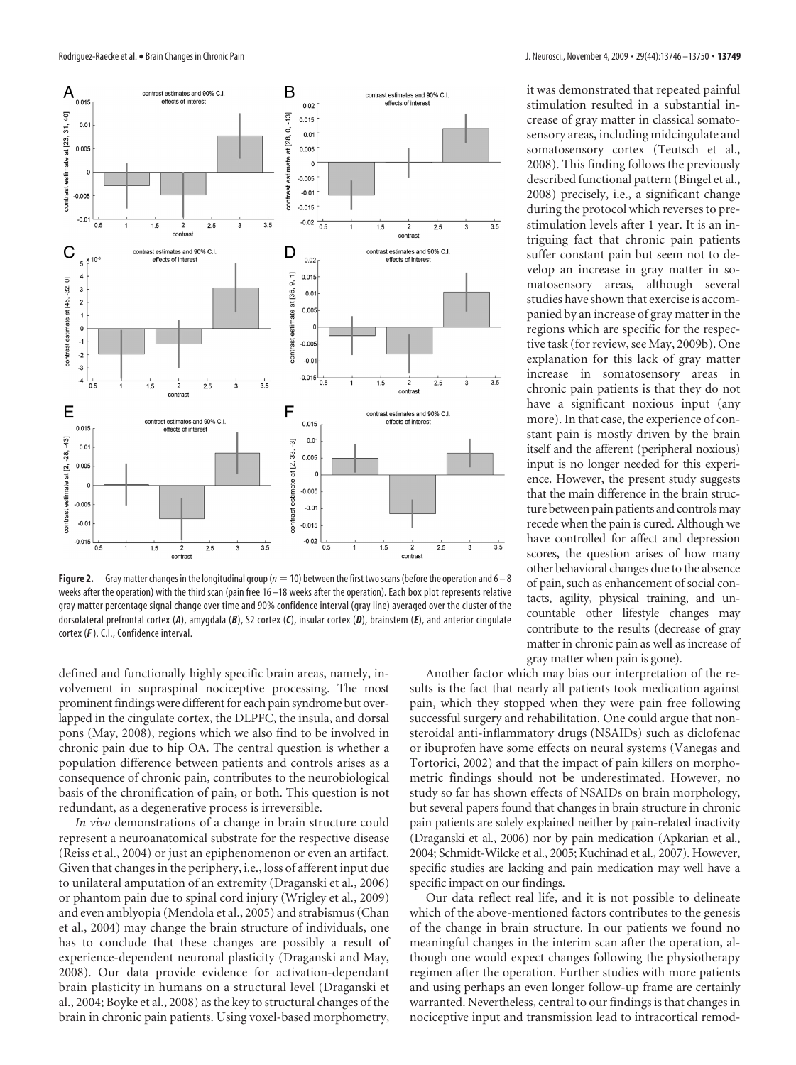

**Figure 2.** Gray matter changes in the longitudinal group ( $n = 10$ ) between the first two scans (before the operation and  $6 - 8$ ) weeks after the operation) with the third scan (pain free 16 –18 weeks after the operation). Each box plot represents relative gray matter percentage signal change over time and 90% confidence interval (gray line) averaged over the cluster of the dorsolateral prefrontal cortex (*A*), amygdala (*B*), S2 cortex (*C*), insular cortex (*D*), brainstem (*E*), and anterior cingulate cortex (*F*). C.I., Confidence interval.

defined and functionally highly specific brain areas, namely, involvement in supraspinal nociceptive processing. The most prominent findings were different for each pain syndrome but overlapped in the cingulate cortex, the DLPFC, the insula, and dorsal pons (May, 2008), regions which we also find to be involved in chronic pain due to hip OA. The central question is whether a population difference between patients and controls arises as a consequence of chronic pain, contributes to the neurobiological basis of the chronification of pain, or both. This question is not redundant, as a degenerative process is irreversible.

*In vivo* demonstrations of a change in brain structure could represent a neuroanatomical substrate for the respective disease (Reiss et al., 2004) or just an epiphenomenon or even an artifact. Given that changes in the periphery, i.e., loss of afferent input due to unilateral amputation of an extremity (Draganski et al., 2006) or phantom pain due to spinal cord injury (Wrigley et al., 2009) and even amblyopia (Mendola et al., 2005) and strabismus (Chan et al., 2004) may change the brain structure of individuals, one has to conclude that these changes are possibly a result of experience-dependent neuronal plasticity (Draganski and May, 2008). Our data provide evidence for activation-dependant brain plasticity in humans on a structural level (Draganski et al., 2004; Boyke et al., 2008) as the key to structural changes of the brain in chronic pain patients. Using voxel-based morphometry,

it was demonstrated that repeated painful stimulation resulted in a substantial increase of gray matter in classical somatosensory areas, including midcingulate and somatosensory cortex (Teutsch et al., 2008). This finding follows the previously described functional pattern (Bingel et al., 2008) precisely, i.e., a significant change during the protocol which reverses to prestimulation levels after 1 year. It is an intriguing fact that chronic pain patients suffer constant pain but seem not to develop an increase in gray matter in somatosensory areas, although several studies have shown that exercise is accompanied by an increase of gray matter in the regions which are specific for the respective task (for review, see May, 2009b). One explanation for this lack of gray matter increase in somatosensory areas in chronic pain patients is that they do not have a significant noxious input (any more). In that case, the experience of constant pain is mostly driven by the brain itself and the afferent (peripheral noxious) input is no longer needed for this experience. However, the present study suggests that the main difference in the brain structure between pain patients and controls may recede when the pain is cured. Although we have controlled for affect and depression scores, the question arises of how many other behavioral changes due to the absence of pain, such as enhancement of social contacts, agility, physical training, and uncountable other lifestyle changes may contribute to the results (decrease of gray matter in chronic pain as well as increase of gray matter when pain is gone).

Another factor which may bias our interpretation of the results is the fact that nearly all patients took medication against pain, which they stopped when they were pain free following successful surgery and rehabilitation. One could argue that nonsteroidal anti-inflammatory drugs (NSAIDs) such as diclofenac or ibuprofen have some effects on neural systems (Vanegas and Tortorici, 2002) and that the impact of pain killers on morphometric findings should not be underestimated. However, no study so far has shown effects of NSAIDs on brain morphology, but several papers found that changes in brain structure in chronic pain patients are solely explained neither by pain-related inactivity (Draganski et al., 2006) nor by pain medication (Apkarian et al., 2004; Schmidt-Wilcke et al., 2005; Kuchinad et al., 2007). However, specific studies are lacking and pain medication may well have a specific impact on our findings.

Our data reflect real life, and it is not possible to delineate which of the above-mentioned factors contributes to the genesis of the change in brain structure. In our patients we found no meaningful changes in the interim scan after the operation, although one would expect changes following the physiotherapy regimen after the operation. Further studies with more patients and using perhaps an even longer follow-up frame are certainly warranted. Nevertheless, central to our findings is that changes in nociceptive input and transmission lead to intracortical remod